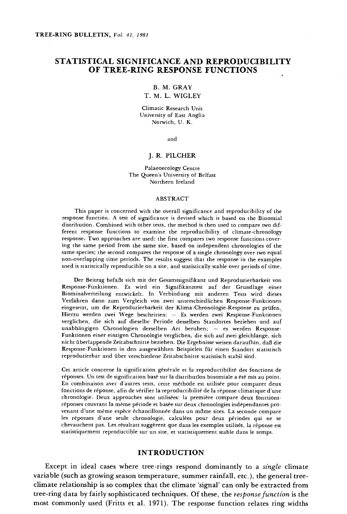# STATISTICAL SIGNIFICANCE AND REPRODUCIBILITY OF TREE -RING RESPONSE FUNCTIONS

#### B. M. GRAY

## T. M. L. WIGLEY

Climatic Research Unit University of East Anglia Norwich, U. K.

and

#### J. R. PILCHER

Palaeoecology Centre The Queen's University of Belfast Northern Ireland

#### ABSTRACT

This paper is concerned with the overall significance and reproducibility of the response function. A test of significance is devised which is based on the Binomial distribution. Combined with other tests, the method is then used to compare two different response functions to examine the reproducibility of climate -chronology response. Two approaches are used: the first compares two response functions covering the same period from the same site, based on independent chronologies of the same species; the second compares the response of a single chronology over two equal non -overlapping time periods. The results suggest that the response in the examples used is statistically reproducible on a site, and statistically stable over periods of time.

Der Beitrag befaßt sich mit der Gesamtsignifikanz und Reproduzierbarkeit von Response- Funktionen. Es wird ein Signifikanztest auf der Grundlage einer Biominalverteilung entwickelt. In Verbindung mit anderen Tests wird dieses Verfahren dann zum Vergleich von zwei unterschiedlichen Response- Funktionen eingesetzt, um die Reproduzierbarkeit der Klima- Chronologie- Response zu prüfen. Hierzu werden zwei Wege beschritten: - Es werden zwei Response-Funktionen verglichen, die sich auf dieselbe Periode desselben Standortes beziehen und auf unabhängigen Chronologien derselben Art beruhen; - es werden Response-Funktionen einer einzigen Chronologie verglichen, die sich auf zwei gleichlange, sich nicht überlappende Zeitabschnitte beziehen. Die Ergebnisse weisen daraufhin, daß die Response- Funktionen in den ausgewählten Beispielen für einen Standort statistisch reproduzierbar und über verschiedene Zeitabschnitte statistisch stabil sind.

Cet article concerne la signification générale et la reproductibilité des fonctions de réponses. Un test de signification basé sur la distribution binomiale a été mis au point. En combinaison avec d'autres tests, cette méthode est utilisée pour comparer deux fonctions de réponse, afin de vérifier la reproductibilité de la réponse climatique d'une chronologie. Deux approaches sont utilisées: la première compare deux fonctions réponses couvrant la même période et basée sur deux chronologies indépendantes provenant d'une même espèce échantillonnée dans un mdme sites. La seconde compare les réponses d'une seule chronologie, calculées pour deux périodes qui ne se chevauchent pas. Les résultats suggèrent que dans les exemples utilisés, la réponse est statistiquement reproductible sur un site, et statistiquement stable dans le temps.

### INTRODUCTION

Except in ideal cases where tree-rings respond dominantly to a *single* climate variable (such as growing season temperature, summer rainfall, etc.), the general tree climate relationship is so complex that the climate `signal' can only be extracted from tree-ring data by fairly sophisticated techniques. Of these, the response function is the most commonly used (Fritts et al. 1971). The response function relates ring widths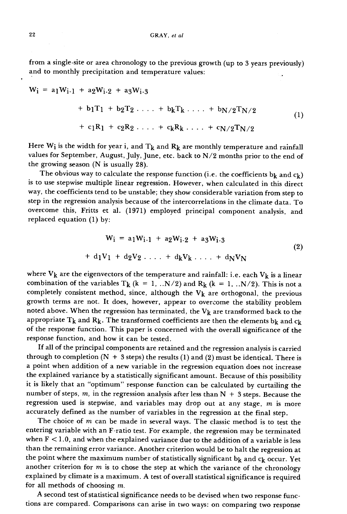from a single -site or area chronology to the previous growth (up to 3 years previously) and to monthly precipitation and temperature values:

$$
W_{i} = a_{1}W_{i-1} + a_{2}W_{i-2} + a_{3}W_{i-3}
$$
  
+ b\_{1}T\_{1} + b\_{2}T\_{2} ... + b\_{k}T\_{k} ... + b\_{N/2}T\_{N/2}  
+ c\_{1}R\_{1} + c\_{2}R\_{2} ... + c\_{k}R\_{k} ... + c\_{N/2}T\_{N/2} (1)

Here  $W_i$  is the width for year i, and  $T_k$  and  $R_k$  are monthly temperature and rainfall values for September, August, July, June, etc. back to N/2 months prior to the end of the growing season (N is usually 28).

The obvious way to calculate the response function (i.e. the coefficients  $b_k$  and  $c_k$ ) is to use stepwise multiple linear regression. However, when calculated in this direct way, the coefficients tend to be unstable; they show considerable variation from step to step in the regression analysis because of the intercorrelations in the climate data. To overcome this, Fritts et al. (1971) employed principal component analysis, and replaced equation (1) by:

$$
W_{i} = a_{1}W_{i-1} + a_{2}W_{i-2} + a_{3}W_{i-3}
$$
  
+  $d_{1}V_{1} + d_{2}V_{2} \ldots + d_{k}V_{k} \ldots + d_{N}V_{N}$  (2)

where  $V_k$  are the eigenvectors of the temperature and rainfall: i.e. each  $V_k$  is a linear combination of the variables T<sub>k</sub> (k = 1, ..N/2) and R<sub>k</sub> (k = 1, ..N/2). This is not a completely consistent method, since, although the  $V_k$  are orthogonal, the previous growth terms are not. It does, however, appear to overcome the stability problem noted above. When the regression has terminated, the  $V_k$  are transformed back to the appropriate T<sub>k</sub> and R<sub>k</sub>. The transformed coefficients are then the elements b<sub>k</sub> and c<sub>k</sub> of the response function. This paper is concerned with the overall significance of the response function, and how it can be tested.

If all of the principal components are retained and the regression analysis is carried through to completion  $(N + 3$  steps) the results (1) and (2) must be identical. There is a point when addition of a new variable in the regression equation does not increase the explained variance by a statistically significant amount. Because of this possibility it is likely that an "optimum" response function can be calculated by curtailing the number of steps,  $m$ , in the regression analysis after less than  $N + 3$  steps. Because the regression used is stepwise, and variables may drop out at any stage,  $m$  is more accurately defined as the number of variables in the regression at the final step.

The choice of  $m$  can be made in several ways. The classic method is to test the entering variable with an F -ratio test. For example, the regression may be terminated when  $F < 1.0$ , and when the explained variance due to the addition of a variable is less than the remaining error variance. Another criterion would be to halt the regression at the point where the maximum number of statistically significant  $b_k$  and  $c_k$  occur. Yet another criterion for  $m$  is to chose the step at which the variance of the chronology explained by climate is a maximum. A test of overall statistical significance is required for all methods of choosing m.

A second test of statistical significance needs to be devised when two response functions are compared. Comparisons can arise in two ways: on comparing two response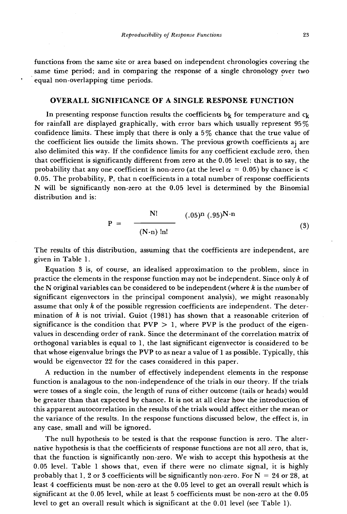functions from the same site or area based on independent chronologies covering the same time period; and in comparing the response of a single chronology over two equal non -overlapping time periods.

# OVERALL SIGNIFICANCE OF A SINGLE RESPONSE FUNCTION

In presenting response function results the coefficients  $b_k$  for temperature and  $c_k$ for rainfall are displayed graphically, with error bars which usually represent 95% confidence limits. These imply that there is only a 5% chance that the true value of the coefficient lies outside the limits shown. The previous growth coefficients ai are also delimited this way. If the confidence limits for any coefficient exclude zero, then that coefficient is significantly different from zero at the 0.05 level: that is to say, the probability that any one coefficient is non-zero (at the level  $\alpha = 0.05$ ) by chance is < 0.05. The probability, P, that n coefficients in a total number of response coefficients N will be significantly non -zero at the 0.05 level is determined by the Binomial distribution and is:

$$
P = \frac{N!}{(N-n) \ln!} \qquad (0.05)^{N} (0.95)^{N-n} \tag{3}
$$

The results of this distribution, assuming that the coefficients are independent, are given in Table 1.

Equation 3 is, of course, an idealised approximation to the problem, since in practice the elements in the response function may not be independent. Since only  $k$  of the N original variables can be considered to be independent (where  $k$  is the number of significant eigenvectors in the principal component analysis), we might reasonably assume that only  $k$  of the possible regression coefficients are independent. The determination of  $k$  is not trivial. Guiot (1981) has shown that a reasonable criterion of significance is the condition that  $PVP > 1$ , where  $PVP$  is the product of the eigenvalues in descending order of rank. Since the determinant of the correlation matrix of orthogonal variables is equal to 1, the last significant eigenvector is considered to be that whose eigenvalue brings the PVP to as near a value of 1 as possible. Typically, this would be eigenvector 22 for the cases considered in this paper.

A reduction in the number of effectively independent elements in the response function is analagous to the non -independence of the trials in our theory. If the trials were tosses of a single coin, the length of runs of either outcome (tails or heads) would be greater than that expected by chance. It is not at all clear how the introduction of this apparent autocorrelation in the results of the trials would affect either the mean or the variance of the results. In the response functions discussed below, the effect is, in any case, small and will be ignored.

The null hypothesis to be tested is that the response function is zero. The alternative hypothesis is that the coefficients of response functions are not all zero, that is, that the function is significantly non -zero. We wish to accept this hypothesis at the 0.05 level. Table 1 shows that, even if there were no climate signal, it is highly probably that 1, 2 or 3 coefficients will be significantly non-zero. For  $N = 24$  or 28, at least 4 coefficients must be non -zero at the 0.05 level to get an overall result which is significant at the 0.05 level, while at least 5 coefficients must be non -zero at the 0.05 level to get an overall result which is significant at the 0.01 level (see Table 1).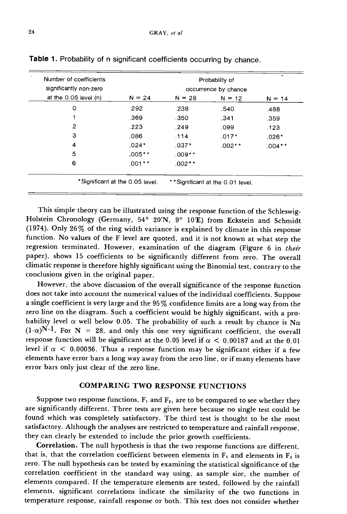| Number of coefficients    |          |          | Probability of       | 7.4      |
|---------------------------|----------|----------|----------------------|----------|
| significantly non-zero    |          |          | occurrence by chance |          |
| at the $0.05$ level $(n)$ | $N = 24$ | $N = 28$ | $N = 12$             | $N = 14$ |
| 0                         | .292     | .238     | .540                 | .488     |
|                           | .369     | .350     | .341                 | .359     |
| 2                         | .223     | .249     | .099                 | .123     |
| 3                         | .086     | .114     | $.017*$              | $.026*$  |
| 4                         | $.024*$  | $.037*$  | $.002**$             | $.004**$ |
| 5                         | $.005**$ | $.009**$ |                      |          |
| 6                         | $.001**$ | $.002**$ |                      |          |

Table 1. Probability of n significant coefficients occurring by chance.

This simple theory can be illustrated using the response function of the Schleswig- Holstein Chronology (Germany, 54° 20'N, 9° 10'E) from Eckstein and Schmidt (1974). Only 26% of the ring width variance is explained by climate in this response function. No values of the F level are quoted, and it is not known at what step the regression terminated. However, examination of the diagram (Figure 6 in their paper), shows 15 coefficients to be significantly different from zero. The overall climatic response is therefore highly significant using the Binomial test, contraryto the conclusions given in the original paper.

However, the above discussion of the overall significance of the response function does not take into account the numerical values of the individual coefficients. Suppose a single coefficient is very large and the 95% confidence limits are a long way from the zero line on the diagram. Such a coefficient would be highly significant, with a probability level  $\alpha$  well below 0.05. The probability of such a result by chance is N $\alpha$  $(1-\alpha)^{N-1}$ . For N = 28, and only this one very significant coefficient, the overall response function will be significant at the 0.05 level if  $\alpha < 0.00187$  and at the 0.01 level if  $\alpha$  < 0.00036. Thus a response function may be significant either if a few elements have error bars a long way away from the zero line, or if many elements have error bars only just clear of the zero line.

## COMPARING TWO RESPONSE FUNCTIONS

Suppose two response functions,  $F_1$  and  $F_2$ , are to be compared to see whether they are significantly different. Three tests are given here because no single test could be found which was completely satisfactory. The third test is thought to be the most satisfactory. Although the analyses are restricted to temperature and rainfall response, they can clearly be extended to include the prior growth coefficients.

Correlation. The null hypothesis is that the two response functions are different, that is, that the correlation coefficient between elements in  $F_1$  and elements in  $F_2$  is zero. The null hypothesis can be tested by examining the statistical significance of the correlation coefficient in the standard way using, as sample size, the number of elements compared. If the temperature elements are tested, followed by the rainfall elements, significant correlations indicate the similarity of the two functions in temperature response, rainfall response or both. This test does not consider whether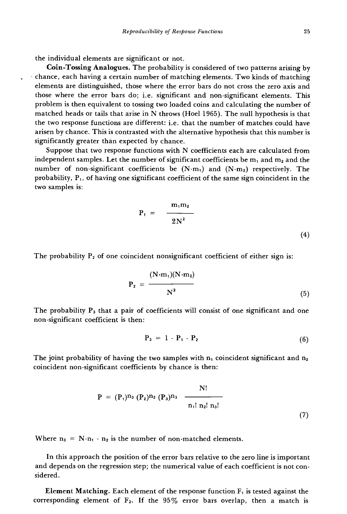the individual elements are significant or not.

Coin -Tossing Analogues. The probability is considered of two patterns arising by chance, each having a certain number of matching elements. Two kinds of thatching elements are distinguished, those where the error bars do not cross the zero axis and those where the error bars do; i.e. significant and non -significant elements. This problem is then equivalent to tossing two loaded coins and calculating the number of matched heads or tails that arise in N throws (Hoel 1965). The null hypothesis is that the two response functions are different: i.e. that the number of matches could have arisen by chance. This is contrasted with the alternative hypothesis that this number is significantly greater than expected by chance.

Suppose that two response functions with N coefficients each are calculated from independent samples. Let the number of significant coefficients be  $m_1$  and  $m_2$  and the number of non-significant coefficients be  $(N-m_1)$  and  $(N-m_2)$  respectively. The probability,  $P_1$ , of having one significant coefficient of the same sign coincident in the two samples is:

$$
P_1 = \frac{m_1 m_2}{2N^2} \tag{4}
$$

The probability  $P_2$  of one coincident nonsignificant coefficient of either sign is:

$$
P_2 = \frac{(N-m_1)(N-m_2)}{N^2}
$$
 (5)

The probability  $P_3$  that a pair of coefficients will consist of one significant and one non -significant coefficient is then:

$$
P_3 = 1 - P_1 - P_2 \tag{6}
$$

The joint probability of having the two samples with  $n_1$  coincident significant and  $n_2$ coincident non -significant coefficients by chance is then:

$$
P = (P_1)^{n_3} (P_2)^{n_2} (P_3)^{n_3} \frac{N!}{n_1! n_2! n_3!}
$$
 (7)

Where  $n_3 = N - n_1 - n_2$  is the number of non-matched elements.

In this approach the position of the error bars relative to the zero line is important and depends on the regression step; the numerical value of each coefficient is not considered.

**Element Matching.** Each element of the response function  $F_1$  is tested against the corresponding element of  $F_2$ . If the  $95\%$  error bars overlap, then a match is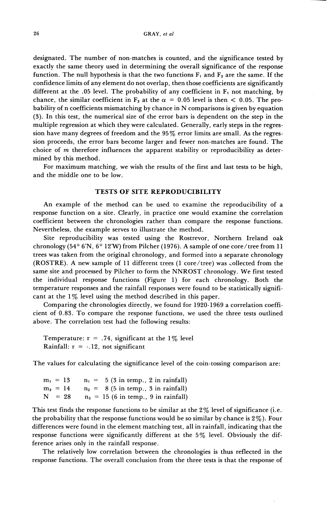designated. The number of non-matches is counted, and the significance tested by exactly the same theory used in determining the overall significance of the response function. The null hypothesis is that the two functions  $F_1$  and  $F_2$  are the same. If the confidence limits of any element do not overlap, then those coefficients are significantly different at the .05 level. The probability of any coefficient in  $F_1$  not matching, by chance, the similar coefficient in F<sub>2</sub> at the  $\alpha$  = 0.05 level is then < 0.05. The probability of n coefficients mismatching by chance in N comparisons is given by equation (3). In this test, the numerical size of the error bars is dependent on the step in the multiple regression at which they were calculated. Generally, early steps in the regression have many degrees of freedom and the 95% error limits are small. As the regression proceeds, the error bars become larger and fewer non-matches are found. The choice of *m* therefore influences the apparent stability or reproducibility as determined by this method.

For maximum matching, we wish the results of the first and last tests to be high, and the middle one to be low.

# TESTS **OF SITE REPRODUCIBILITY**

An example of the method can be used to examine the reproducibility of a response function on a site. Clearly, in practice one would examine the correlation coefficient between the chronologies rather than compare the response functions. Nevertheless, the example serves to illustrate the method.

Site reproducibility was tested using the Rostrevor, Northern Ireland oak chronology (54 $^{\circ}$  6'N, 6 $^{\circ}$  12'W) from Pilcher (1976). A sample of one core/tree from 11 trees was taken from the original chronology, and formed into a separate chronology (ROSTRE). A new sample of 11 different trees (1 core/tree) was collected from the same site and processed by Pilcher to form the NNROST chronology. We first tested the individual response functions (Figure 1) for each chronology. Both the temperature responses and the rainfall responses were found to be statistically significant at the  $1\%$  level using the method described in this paper.

Comparing the chronologies directly, we found for 1920-1969 a correlation coefficient of 0.83. To compare the response functions, we used the three tests outlined above. The correlation test had the following results:

Temperature:  $r = .74$ , significant at the 1% level Rainfall:  $r = -.12$ , not significant

The values for calculating the significance level of the coin-tossing comparison are:

 $m_1 = 13$  $m_2 = 14$  $N = 28$  $n_1 = 5$  (3 in temp., 2 in rainfall)  $n_2 = 8$  (5 in temp., 3 in rainfall)  $n_3 = 15$  (6 in temp., 9 in rainfall)

This test finds the response functions to be similar at the  $2\%$  level of significance (i.e. the probability that the response functions would be so similar by chance is  $2\%$ ). Four differences were found in the element matching test, all in rainfall, indicating that the response functions were significantly different at the 5% level. Obviously the difference arises only in the rainfall response.

The relatively low correlation between the chronologies is thus reflected in the response functions. The overall conclusion from the three tests is that the response of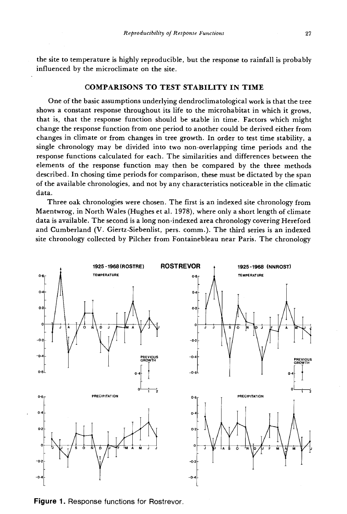the site to temperature is highly reproducible, but the response to rainfall is probably influenced by the microclimate on the site.

## COMPARISONS TO TEST STABILITY IN TIME

One of the basic assumptions underlying dendroclimatological work is that the tree shows a constant response throughout its life to the microhabitat in which it grows, that is, that the response function should be stable in time. Factors which might change the response function from one period to another could be derived either from changes in climate or from changes in tree growth. In order to test time stability, a single chronology may be divided into two non -overlapping time periods and the response functions calculated for each. The similarities and differences between the elements of the response function may then be compared by the three methods described. In chosing time periods for comparison, these must be dictated by the span of the available chronologies, and not by any characteristics noticeable in the climatic data.

Three oak chronologies were chosen. The first is an indexed site chronology from Maentwrog, in North Wales (Hughes et al. 1978), where only a short length of climate data is available. The second is a long non -indexed area chronology covering Hereford and Cumberland (V. Giertz -Siebenlist, pers. comm.). The third series is an indexed site chronology collected by Pilcher from Fontainebleau near Paris. The chronology



Figure 1. Response functions for Rostrevor.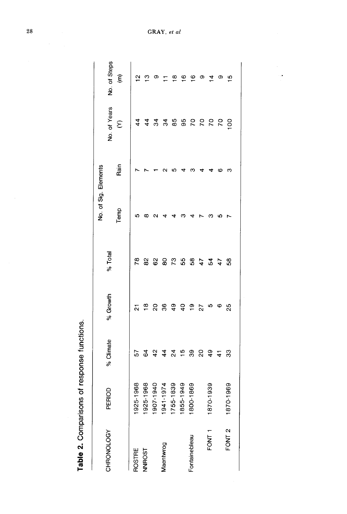| j<br>Į<br>.<br>.<br>. |
|-----------------------|
| I                     |
|                       |
|                       |
|                       |

|                   |                           |                |                         |         | No. of Sig. Elements |      |                |                      |
|-------------------|---------------------------|----------------|-------------------------|---------|----------------------|------|----------------|----------------------|
| CHRONOLOGY        | PERIOD                    | % Climate      | % Growth                | % Total |                      |      | No. of Years   | No. of Steps         |
|                   |                           |                |                         |         | Temp                 | Rain | $\epsilon$     | $\widehat{\epsilon}$ |
| ROSTRE            | 5-1968<br>$\frac{26}{3}$  | 57             | $\overline{\mathbf{a}}$ | 78      | ю                    |      | $\frac{4}{4}$  | $\frac{1}{1}$        |
| <b>NNROST</b>     | 15-1968<br>192            | $\mathbf{g}$   | $\frac{\infty}{\infty}$ | 82      | œ                    |      | $\frac{4}{4}$  | $\frac{1}{2}$        |
|                   | 17-1940<br>$\frac{6}{10}$ | 424            | 20                      | 62      | ິ                    |      | 34             | თ                    |
| Maentwrog         | 1941-1974                 |                | $\frac{6}{5}$           | 80      |                      |      | $\mathbf{54}$  | $\overline{1}$       |
|                   | 5-1839<br>175             | $\overline{2}$ | 49                      | 73      |                      |      | 85             | $\frac{8}{1}$        |
|                   | 61949<br>185              | $\frac{6}{1}$  | $\frac{1}{4}$           | 55      |                      |      | 95             | $\frac{6}{1}$        |
| Fontainebleau     | 1800-1869                 | 39             | ္စာ                     | 86      |                      |      |                | $\frac{6}{1}$        |
|                   |                           | 20             | 27                      | 47      |                      |      | 8888           | Φ                    |
| FONT <sub>1</sub> | 0.1939<br>187             | $\frac{9}{4}$  | ю                       | 54      |                      |      |                | $\overline{4}$       |
|                   |                           | $\overline{4}$ | ဖ                       | 47      |                      | ю    |                | Φ                    |
| FONT <sub>2</sub> | 0-1969<br>187             | 33             | 25                      | 58      |                      | ო    | $\overline{5}$ | $\frac{5}{1}$        |
|                   |                           |                |                         |         |                      |      |                |                      |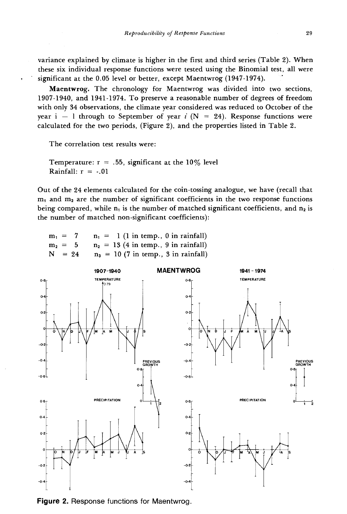variance explained by climate is higher in the first and third series (Table 2). When these six individual response functions were tested using the Binomial test, all were significant at the 0.05 level or better, except Maentwrog (1947-1974).

Maentwrog. The chronology for Maentwrog was divided into two sections, 1907 -1940, and 1941 -1974. To preserve a reasonable number of degrees of freedom with only 34 observations, the climate year considered was reduced to October of the year i - 1 through to September of year i (N = 24). Response functions were calculated for the two periods, (Figure 2), and the properties listed in Table 2.

The correlation test results were:

Temperature:  $r = .55$ , significant at the 10% level Rainfall:  $r = -.01$ 

Out of the 24 elements calculated for the coin - tossing analogue, we have (recall that  $m_1$  and  $m_2$  are the number of significant coefficients in the two response functions being compared, while  $n_1$  is the number of matched significant coefficients, and  $n_2$  is the number of matched non -significant coefficients):

| $m_1 = 7$ | $n_1 = 1$ (1 in temp., 0 in rainfall)  |
|-----------|----------------------------------------|
| $m_2 = 5$ | $n_2 = 13$ (4 in temp., 9 in rainfall) |
| $N = 24$  | $n_3 = 10$ (7 in temp., 3 in rainfall) |



Figure 2. Response functions for Maentwrog.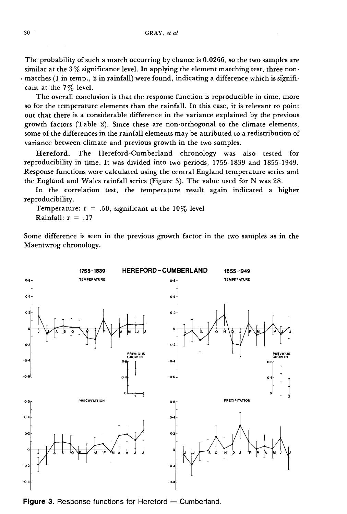The probability of such a match occurring by chance is 0.0266, so the two samples are similar at the 3% significance level. In applying the element matching test, three non- . matches (1 in temp., 2 in rainfall) were found, indicating a difference which is significant at the 7% level.

The overall conclusion is that the response function is reproducible in time, more so for the temperature elements than the rainfall. In this case, it is relevant to point out that there is a considerable difference in the variance explained by the previous growth factors (Table 2). Since these are non -orthogonal to the climate elements, some of the differences in the rainfall elements may be attributed to a redistribution of variance between climate and previous growth in the two samples.

Hereford. The Hereford -Cumberland chronology was also tested for reproducibility in time. It was divided into two periods, 1755 -1839 and 1855 -1949. Response functions were calculated using the central England temperature series and the England and Wales rainfall series (Figure 3). The value used for N was 28.

In the correlation test, the temperature result again indicated a higher reproducibility.

Temperature:  $r = .50$ , significant at the 10% level Rainfall:  $r = .17$ 

Some difference is seen in the previous growth factor in the two samples as in the Maentwrog chronology.



Figure 3. Response functions for Hereford  $-$  Cumberland.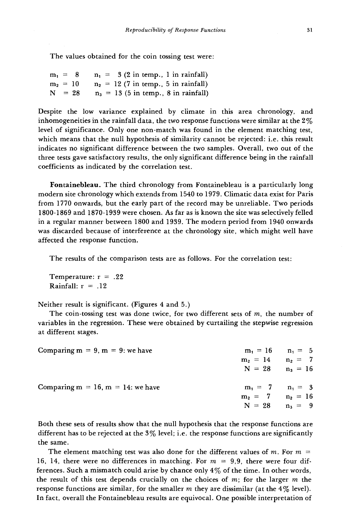The values obtained for the coin tossing test were:

|  |          |  | $m_1 = 8$ $n_1 = 3$ (2 in temp., 1 in rainfall)   |
|--|----------|--|---------------------------------------------------|
|  |          |  | $m_2 = 10$ $n_2 = 12$ (7 in temp., 5 in rainfall) |
|  | $N = 28$ |  | $n_3 = 13$ (5 in temp., 8 in rainfall)            |

Despite the low variance explained by climate in this area chronology, and inhomogeneities in the rainfall data, the two response functions were similar at the  $2\%$ level of significance. Only one non -match was found in the element matching test, which means that the null hypothesis of similarity cannot be rejected: i.e. this result indicates no significant difference between the two samples. Overall, two out of the three tests gave satisfactory results, the only significant difference being in the rainfall coefficients as indicated by the correlation test.

Fontainebleau. The third chronology from Fontainebleau is a particularly long modern site chronology which extends from 1540 to 1979. Climatic data exist for Paris from 1770 onwards, but the early part of the record may be unreliable. Two periods 1800 -1869 and 1870 -1939 were chosen. As far as is known the site was selectively felled in a regular manner between 1800 and 1939. The modern period from 1940 onwards was discarded because of interference at the chronology site, which might well have affected the response function.

The results of the comparison tests are as follows. For the correlation test:

Temperature:  $r = .22$ Rainfall:  $r = .12$ 

Neither result is significant. (Figures 4 and 5.)

The coin-tossing test was done twice, for two different sets of  $m$ , the number of variables in the regression. These were obtained by curtailing the stepwise regression at different stages.

| Comparing $m = 9$ , $m = 9$ : we have   | $m_1 = 16$ $n_1 = 5$<br>$m_2 = 14$ $n_2 = 7$                      |  |
|-----------------------------------------|-------------------------------------------------------------------|--|
|                                         | $N = 28$ $n_3 = 16$                                               |  |
| Comparing $m = 16$ , $m = 14$ : we have | $m_1 = 7$ $n_1 = 3$<br>$m_2 = 7$ $n_2 = 16$<br>$N = 28$ $n_3 = 9$ |  |

Both these sets of results show that the null hypothesis that the response functions are different has to be rejected at the  $3\%$  level; i.e. the response functions are significantly the same.

The element matching test was also done for the different values of m. For  $m =$ 16, 14, there were no differences in matching. For  $m = 9.9$ , there were four differences. Such a mismatch could arise by chance only 4% of the time. In other words, the result of this test depends crucially on the choices of  $m$ ; for the larger  $m$  the response functions are similar, for the smaller  $m$  they are dissimilar (at the 4% level). In fact, overall the Fontainebleau results are equivocal. One possible interpretation of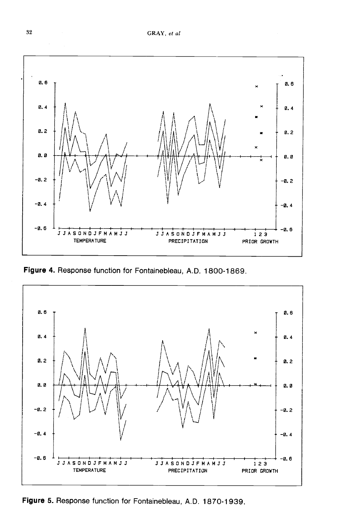

Figure 4. Response function for Fontainebleau, A.D. 1800-1869.



Figure 5. Response function for Fontainebleau, A.D. 1870-1939.

32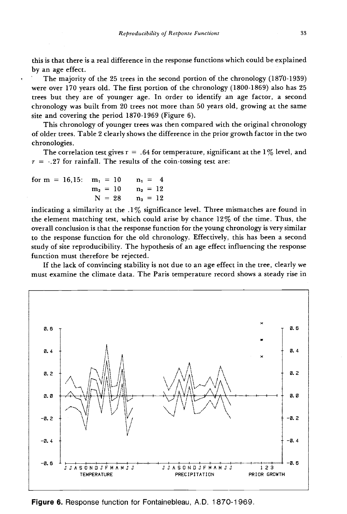this is that there is a real difference in the response functions which could be explained by an age effect.

The majority of the 25 trees in the second portion of the chronology (1870-1939) were over 170 years old. The first portion of the chronology (1800-1869) also has 25 trees but they are of younger age. In order to identify an age factor, a second chronology was built from 20 trees not more than 50 years old, growing at the same site and covering the period 1870-1969 (Figure 6).

This chronology of younger trees was then compared with the original chronology of older trees. Table 2 clearly shows the difference in the prior growth factor in the two chronologies.

The correlation test gives  $r = .64$  for temperature, significant at the 1% level, and  $r = -.27$  for rainfall. The results of the coin-tossing test are:

| for $m = 16.15$ : $m_1 = 10$ |                       | $n_1 = 4$ |  |
|------------------------------|-----------------------|-----------|--|
|                              | $m_2 = 10$ $n_2 = 12$ |           |  |
|                              | $N = 28$ $n_3 = 12$   |           |  |

indicating a similarity at the  $.1\%$  significance level. Three mismatches are found in the element matching test, which could arise by chance 12% of the time. Thus, the overall conclusion is that the response function for the young chronology is very similar to the response function for the old chronology. Effectively, this has been a second study of site reproducibility. The hypothesis of an age effect influencing the response function must therefore be rejected.

If the lack of convincing stability is not due to an age effect in the tree, clearly we must examine the climate data. The Paris temperature record shows a steady rise in



Figure 6. Response function for Fontainebleau, A.D. 1870-1969.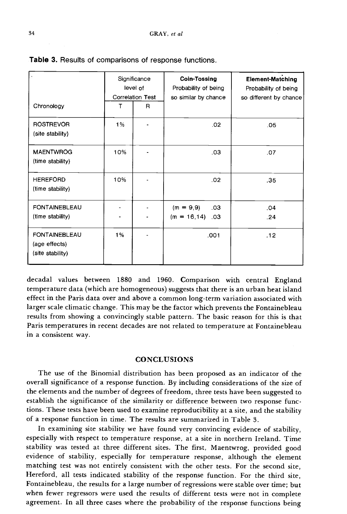|                                                           |     | Significance<br>level of<br><b>Correlation Test</b> | Coin-Tossing<br>Probability of being<br>so similar by chance | <b>Element-Matching</b><br>Probability of being<br>so different by chance |  |
|-----------------------------------------------------------|-----|-----------------------------------------------------|--------------------------------------------------------------|---------------------------------------------------------------------------|--|
| Chronology                                                | т   | R                                                   |                                                              |                                                                           |  |
| <b>ROSTREVOR</b><br>(site stability)                      | 1%  |                                                     | .02                                                          | .05                                                                       |  |
| <b>MAENTWROG</b><br>(time stability)                      | 10% |                                                     | .03                                                          | .07                                                                       |  |
| <b>HEREFORD</b><br>(time stability)                       | 10% |                                                     | .02                                                          | .35                                                                       |  |
| <b>FONTAINEBLEAU</b><br>(time stability)                  |     |                                                     | $(m = 9, 9)$<br>.03 <sub>1</sub><br>$(m = 16, 14)$<br>.03    | .04<br>.24                                                                |  |
| <b>FONTAINEBLEAU</b><br>(age effects)<br>(site stability) | 1%  |                                                     | .001                                                         | .12                                                                       |  |

|  |  |  |  | Table 3. Results of comparisons of response functions. |  |  |  |  |
|--|--|--|--|--------------------------------------------------------|--|--|--|--|
|--|--|--|--|--------------------------------------------------------|--|--|--|--|

decadal values between 1880 and 1960. Comparison with central England temperature data (which are homogeneous) suggests that there is an urban heat island effect in the Paris data over and above a common long -term variation associated with larger scale climatic change. This may be the factor which prevents the Fontainebleau results from showing a convincingly stable pattern. The basic reason for this is that Paris temperatures in recent decades are not related to temperature at Fontainebleau in a consistent way.

# **CONCLUSIONS**

The use of the Binomial distribution has been proposed as an indicator of the overall significance of a response function. By including considerations of the size of the elements and the number of degrees of freedom, three tests have been suggested to establish the significance of the similarity or difference between two response functions. These tests have been used to examine reproducibility at a site, and the stability of a response function in time. The results are summarized in Table 3.

In examining site stability we have found very convincing evidence of stability, especially with respect to temperature response, at a site in northern Ireland. Time stability was tested at three different sites. The first, Maentwrog, provided good evidence of stability, especially for temperature response, although the element matching test was not entirely consistent with the other tests. For the second site, Hereford, all tests indicated stability of the response function. For the third site, Fontainebleau, the results for a large number of regressions were stable over time; but when fewer regressors were used the results of different tests were not in complete agreement. In all three cases where the probability of the response functions being